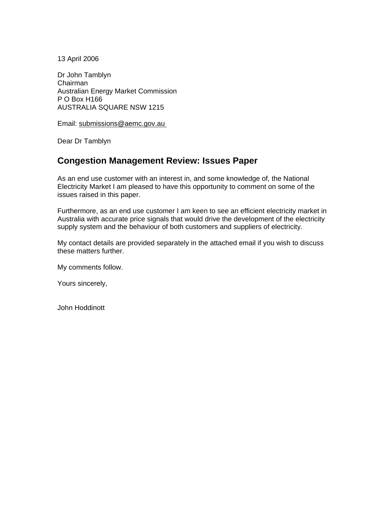13 April 2006

Dr John Tamblyn Chairman Australian Energy Market Commission P O Box H166 AUSTRALIA SQUARE NSW 1215

Email: submissions@aemc.gov.au

Dear Dr Tamblyn

# **Congestion Management Review: Issues Paper**

As an end use customer with an interest in, and some knowledge of, the National Electricity Market I am pleased to have this opportunity to comment on some of the issues raised in this paper.

Furthermore, as an end use customer I am keen to see an efficient electricity market in Australia with accurate price signals that would drive the development of the electricity supply system and the behaviour of both customers and suppliers of electricity.

My contact details are provided separately in the attached email if you wish to discuss these matters further.

My comments follow.

Yours sincerely,

John Hoddinott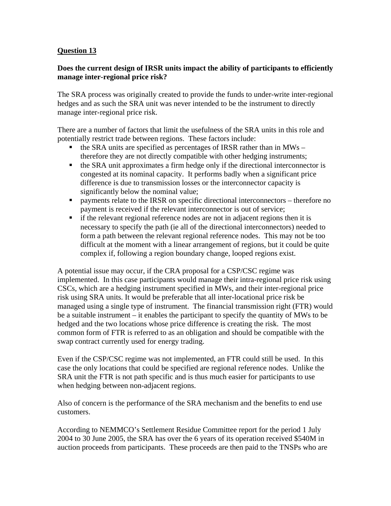# **Question 13**

## **Does the current design of IRSR units impact the ability of participants to efficiently manage inter-regional price risk?**

The SRA process was originally created to provide the funds to under-write inter-regional hedges and as such the SRA unit was never intended to be the instrument to directly manage inter-regional price risk.

There are a number of factors that limit the usefulness of the SRA units in this role and potentially restrict trade between regions. These factors include:

- $\blacksquare$  the SRA units are specified as percentages of IRSR rather than in MWs therefore they are not directly compatible with other hedging instruments;
- the SRA unit approximates a firm hedge only if the directional interconnector is congested at its nominal capacity. It performs badly when a significant price difference is due to transmission losses or the interconnector capacity is significantly below the nominal value;
- **•** payments relate to the IRSR on specific directional interconnectors therefore no payment is received if the relevant interconnector is out of service;
- if the relevant regional reference nodes are not in adjacent regions then it is necessary to specify the path (ie all of the directional interconnectors) needed to form a path between the relevant regional reference nodes. This may not be too difficult at the moment with a linear arrangement of regions, but it could be quite complex if, following a region boundary change, looped regions exist.

A potential issue may occur, if the CRA proposal for a CSP/CSC regime was implemented. In this case participants would manage their intra-regional price risk using CSCs, which are a hedging instrument specified in MWs, and their inter-regional price risk using SRA units. It would be preferable that all inter-locational price risk be managed using a single type of instrument. The financial transmission right (FTR) would be a suitable instrument – it enables the participant to specify the quantity of MWs to be hedged and the two locations whose price difference is creating the risk. The most common form of FTR is referred to as an obligation and should be compatible with the swap contract currently used for energy trading.

Even if the CSP/CSC regime was not implemented, an FTR could still be used. In this case the only locations that could be specified are regional reference nodes. Unlike the SRA unit the FTR is not path specific and is thus much easier for participants to use when hedging between non-adjacent regions.

Also of concern is the performance of the SRA mechanism and the benefits to end use customers.

According to NEMMCO's Settlement Residue Committee report for the period 1 July 2004 to 30 June 2005, the SRA has over the 6 years of its operation received \$540M in auction proceeds from participants. These proceeds are then paid to the TNSPs who are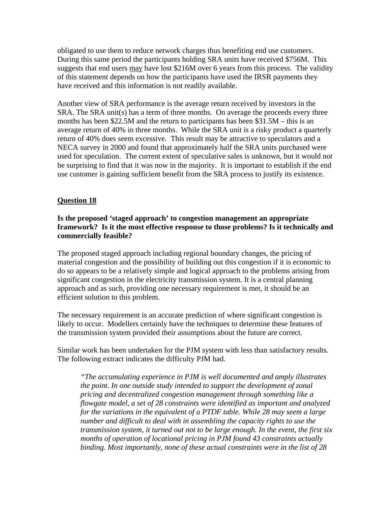obligated to use them to reduce network charges thus benefiting end use customers. During this same period the participants holding SRA units have received \$756M. This suggests that end users may have lost \$216M over 6 years from this process. The validity of this statement depends on how the participants have used the IRSR payments they have received and this information is not readily available.

Another view of SRA performance is the average return received by investors in the SRA. The SRA unit(s) has a term of three months. On average the proceeds every three months has been \$22.5M and the return to participants has been \$31.5M – this is an average return of 40% in three months. While the SRA unit is a risky product a quarterly return of 40% does seem excessive. This result may be attractive to speculators and a NECA survey in 2000 and found that approximately half the SRA units purchased were used for speculation. The current extent of speculative sales is unknown, but it would not be surprising to find that it was now in the majority. It is important to establish if the end use customer is gaining sufficient benefit from the SRA process to justify its existence.

#### **Question 18**

### **Is the proposed 'staged approach' to congestion management an appropriate framework? Is it the most effective response to those problems? Is it technically and commercially feasible?**

The proposed staged approach including regional boundary changes, the pricing of material congestion and the possibility of building out this congestion if it is economic to do so appears to be a relatively simple and logical approach to the problems arising from significant congestion in the electricity transmission system. It is a central planning approach and as such, providing one necessary requirement is met, it should be an efficient solution to this problem.

The necessary requirement is an accurate prediction of where significant congestion is likely to occur. Modellers certainly have the techniques to determine these features of the transmission system provided their assumptions about the future are correct.

Similar work has been undertaken for the PJM system with less than satisfactory results. The following extract indicates the difficulty PJM had.

*"The accumulating experience in PJM is well documented and amply illustrates the point. In one outside study intended to support the development of zonal pricing and decentralized congestion management through something like a flowgate model, a set of 28 constraints were identified as important and analyzed for the variations in the equivalent of a PTDF table. While 28 may seem a large number and difficult to deal with in assembling the capacity rights to use the transmission system, it turned out not to be large enough. In the event, the first six months of operation of locational pricing in PJM found 43 constraints actually binding. Most importantly, none of these actual constraints were in the list of 28*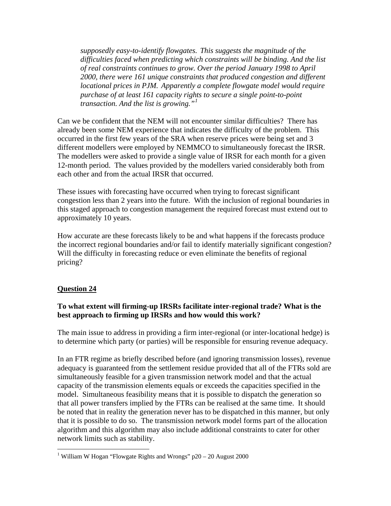*supposedly easy-to-identify flowgates. This suggests the magnitude of the difficulties faced when predicting which constraints will be binding. And the list of real constraints continues to grow. Over the period January 1998 to April 2000, there were 161 unique constraints that produced congestion and different locational prices in PJM. Apparently a complete flowgate model would require purchase of at least 161 capacity rights to secure a single point-to-point transaction. And the list is growing."[1](#page-3-0)*

Can we be confident that the NEM will not encounter similar difficulties? There has already been some NEM experience that indicates the difficulty of the problem. This occurred in the first few years of the SRA when reserve prices were being set and 3 different modellers were employed by NEMMCO to simultaneously forecast the IRSR. The modellers were asked to provide a single value of IRSR for each month for a given 12-month period. The values provided by the modellers varied considerably both from each other and from the actual IRSR that occurred.

These issues with forecasting have occurred when trying to forecast significant congestion less than 2 years into the future. With the inclusion of regional boundaries in this staged approach to congestion management the required forecast must extend out to approximately 10 years.

How accurate are these forecasts likely to be and what happens if the forecasts produce the incorrect regional boundaries and/or fail to identify materially significant congestion? Will the difficulty in forecasting reduce or even eliminate the benefits of regional pricing?

#### **Question 24**

 $\overline{a}$ 

# **To what extent will firming-up IRSRs facilitate inter-regional trade? What is the best approach to firming up IRSRs and how would this work?**

The main issue to address in providing a firm inter-regional (or inter-locational hedge) is to determine which party (or parties) will be responsible for ensuring revenue adequacy.

In an FTR regime as briefly described before (and ignoring transmission losses), revenue adequacy is guaranteed from the settlement residue provided that all of the FTRs sold are simultaneously feasible for a given transmission network model and that the actual capacity of the transmission elements equals or exceeds the capacities specified in the model. Simultaneous feasibility means that it is possible to dispatch the generation so that all power transfers implied by the FTRs can be realised at the same time. It should be noted that in reality the generation never has to be dispatched in this manner, but only that it is possible to do so. The transmission network model forms part of the allocation algorithm and this algorithm may also include additional constraints to cater for other network limits such as stability.

<span id="page-3-0"></span><sup>&</sup>lt;sup>1</sup> William W Hogan "Flowgate Rights and Wrongs"  $p20 - 20$  August 2000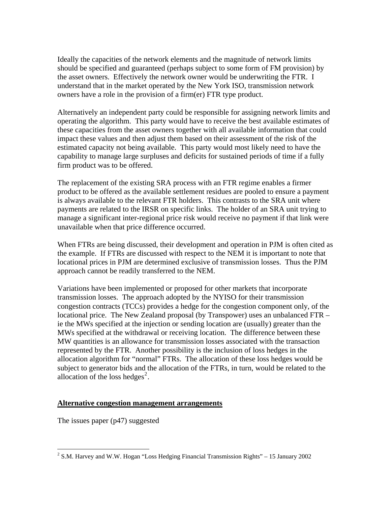Ideally the capacities of the network elements and the magnitude of network limits should be specified and guaranteed (perhaps subject to some form of FM provision) by the asset owners. Effectively the network owner would be underwriting the FTR. I understand that in the market operated by the New York ISO, transmission network owners have a role in the provision of a firm(er) FTR type product.

Alternatively an independent party could be responsible for assigning network limits and operating the algorithm. This party would have to receive the best available estimates of these capacities from the asset owners together with all available information that could impact these values and then adjust them based on their assessment of the risk of the estimated capacity not being available. This party would most likely need to have the capability to manage large surpluses and deficits for sustained periods of time if a fully firm product was to be offered.

The replacement of the existing SRA process with an FTR regime enables a firmer product to be offered as the available settlement residues are pooled to ensure a payment is always available to the relevant FTR holders. This contrasts to the SRA unit where payments are related to the IRSR on specific links. The holder of an SRA unit trying to manage a significant inter-regional price risk would receive no payment if that link were unavailable when that price difference occurred.

When FTRs are being discussed, their development and operation in PJM is often cited as the example. If FTRs are discussed with respect to the NEM it is important to note that locational prices in PJM are determined exclusive of transmission losses. Thus the PJM approach cannot be readily transferred to the NEM.

Variations have been implemented or proposed for other markets that incorporate transmission losses. The approach adopted by the NYISO for their transmission congestion contracts (TCCs) provides a hedge for the congestion component only, of the locational price. The New Zealand proposal (by Transpower) uses an unbalanced FTR – ie the MWs specified at the injection or sending location are (usually) greater than the MWs specified at the withdrawal or receiving location. The difference between these MW quantities is an allowance for transmission losses associated with the transaction represented by the FTR. Another possibility is the inclusion of loss hedges in the allocation algorithm for "normal" FTRs. The allocation of these loss hedges would be subject to generator bids and the allocation of the FTRs, in turn, would be related to the allocation of the loss hedges<sup>[2](#page-4-0)</sup>.

## **Alternative congestion management arrangements**

The issues paper (p47) suggested

 $\overline{a}$ 

<span id="page-4-0"></span><sup>&</sup>lt;sup>2</sup> S.M. Harvey and W.W. Hogan "Loss Hedging Financial Transmission Rights" – 15 January 2002